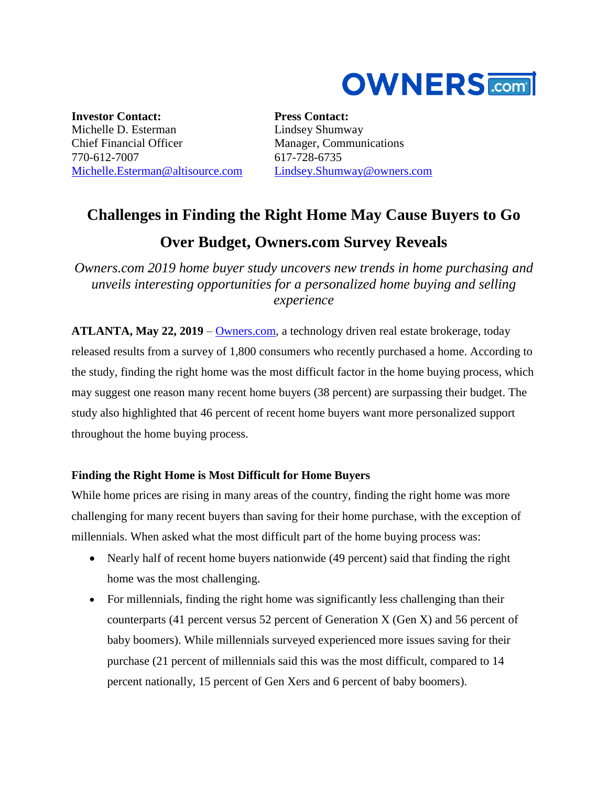

**Investor Contact:** Michelle D. Esterman Chief Financial Officer 770-612-7007 [Michelle.Esterman@altisource.com](mailto:Michelle.Esterman@altisource.com)

**Press Contact:** Lindsey Shumway Manager, Communications 617-728-6735 [Lindsey.Shumway@owners.com](mailto:lindsey.shumway@owners.com)

# **Challenges in Finding the Right Home May Cause Buyers to Go**

## **Over Budget, Owners.com Survey Reveals**

*Owners.com 2019 home buyer study uncovers new trends in home purchasing and unveils interesting opportunities for a personalized home buying and selling experience*

**ATLANTA, May 22, 2019** – [Owners.com,](https://www.owners.com/?utm_source=pr&utm_medium=pr&utm_campaign=2019_homebuyer_survey_one&utm_content=first) a technology driven real estate brokerage, today released results from a survey of 1,800 consumers who recently purchased a home. According to the study, finding the right home was the most difficult factor in the home buying process, which may suggest one reason many recent home buyers (38 percent) are surpassing their budget. The study also highlighted that 46 percent of recent home buyers want more personalized support throughout the home buying process.

### **Finding the Right Home is Most Difficult for Home Buyers**

While home prices are rising in many areas of the country, finding the right home was more challenging for many recent buyers than saving for their home purchase, with the exception of millennials. When asked what the most difficult part of the home buying process was:

- Nearly half of recent home buyers nationwide (49 percent) said that finding the right home was the most challenging.
- For millennials, finding the right home was significantly less challenging than their counterparts (41 percent versus 52 percent of Generation X (Gen X) and 56 percent of baby boomers). While millennials surveyed experienced more issues saving for their purchase (21 percent of millennials said this was the most difficult, compared to 14 percent nationally, 15 percent of Gen Xers and 6 percent of baby boomers).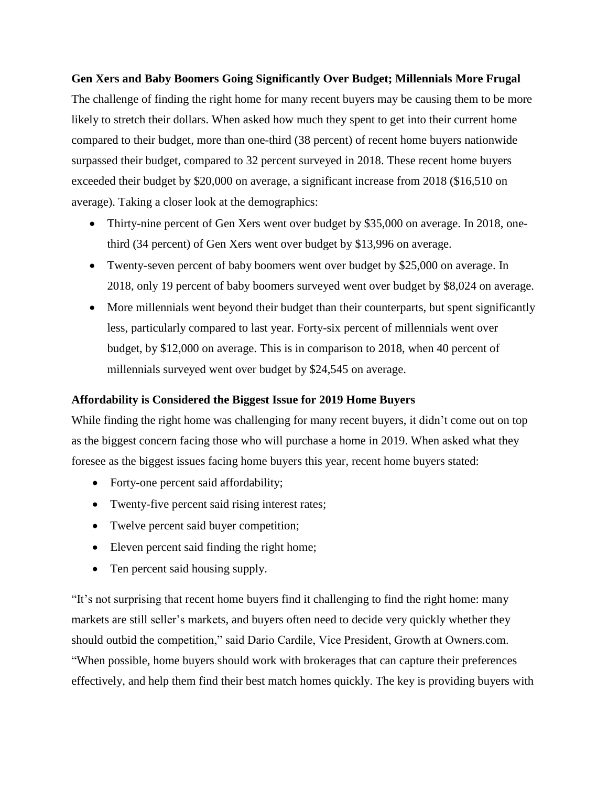**Gen Xers and Baby Boomers Going Significantly Over Budget; Millennials More Frugal** The challenge of finding the right home for many recent buyers may be causing them to be more likely to stretch their dollars. When asked how much they spent to get into their current home compared to their budget, more than one-third (38 percent) of recent home buyers nationwide surpassed their budget, compared to 32 percent surveyed in 2018. These recent home buyers exceeded their budget by \$20,000 on average, a significant increase from 2018 (\$16,510 on average). Taking a closer look at the demographics:

- Thirty-nine percent of Gen Xers went over budget by \$35,000 on average. In 2018, onethird (34 percent) of Gen Xers went over budget by \$13,996 on average.
- Twenty-seven percent of baby boomers went over budget by \$25,000 on average. In 2018, only 19 percent of baby boomers surveyed went over budget by \$8,024 on average.
- More millennials went beyond their budget than their counterparts, but spent significantly less, particularly compared to last year. Forty-six percent of millennials went over budget, by \$12,000 on average. This is in comparison to 2018, when 40 percent of millennials surveyed went over budget by \$24,545 on average.

#### **Affordability is Considered the Biggest Issue for 2019 Home Buyers**

While finding the right home was challenging for many recent buyers, it didn't come out on top as the biggest concern facing those who will purchase a home in 2019. When asked what they foresee as the biggest issues facing home buyers this year, recent home buyers stated:

- Forty-one percent said affordability;
- Twenty-five percent said rising interest rates;
- Twelve percent said buyer competition;
- Eleven percent said finding the right home;
- Ten percent said housing supply.

"It's not surprising that recent home buyers find it challenging to find the right home: many markets are still seller's markets, and buyers often need to decide very quickly whether they should outbid the competition," said Dario Cardile, Vice President, Growth at Owners.com. "When possible, home buyers should work with brokerages that can capture their preferences effectively, and help them find their best match homes quickly. The key is providing buyers with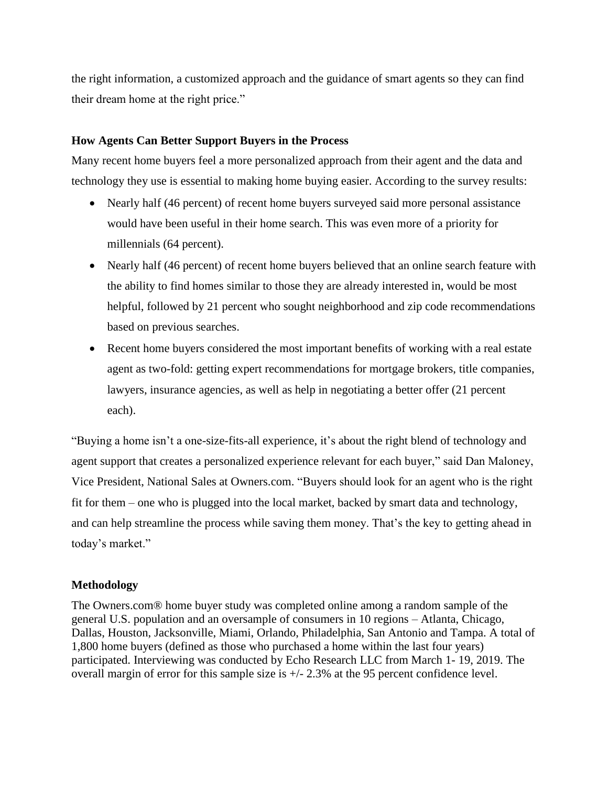the right information, a customized approach and the guidance of smart agents so they can find their dream home at the right price."

#### **How Agents Can Better Support Buyers in the Process**

Many recent home buyers feel a more personalized approach from their agent and the data and technology they use is essential to making home buying easier. According to the survey results:

- Nearly half (46 percent) of recent home buyers surveyed said more personal assistance would have been useful in their home search. This was even more of a priority for millennials (64 percent).
- Nearly half (46 percent) of recent home buyers believed that an online search feature with the ability to find homes similar to those they are already interested in, would be most helpful, followed by 21 percent who sought neighborhood and zip code recommendations based on previous searches.
- Recent home buyers considered the most important benefits of working with a real estate agent as two-fold: getting expert recommendations for mortgage brokers, title companies, lawyers, insurance agencies, as well as help in negotiating a better offer (21 percent each).

"Buying a home isn't a one-size-fits-all experience, it's about the right blend of technology and agent support that creates a personalized experience relevant for each buyer," said Dan Maloney, Vice President, National Sales at Owners.com. "Buyers should look for an agent who is the right fit for them – one who is plugged into the local market, backed by smart data and technology, and can help streamline the process while saving them money. That's the key to getting ahead in today's market."

#### **Methodology**

The Owners.com® home buyer study was completed online among a random sample of the general U.S. population and an oversample of consumers in 10 regions – Atlanta, Chicago, Dallas, Houston, Jacksonville, Miami, Orlando, Philadelphia, San Antonio and Tampa. A total of 1,800 home buyers (defined as those who purchased a home within the last four years) participated. Interviewing was conducted by Echo Research LLC from March 1- 19, 2019. The overall margin of error for this sample size is +/- 2.3% at the 95 percent confidence level.